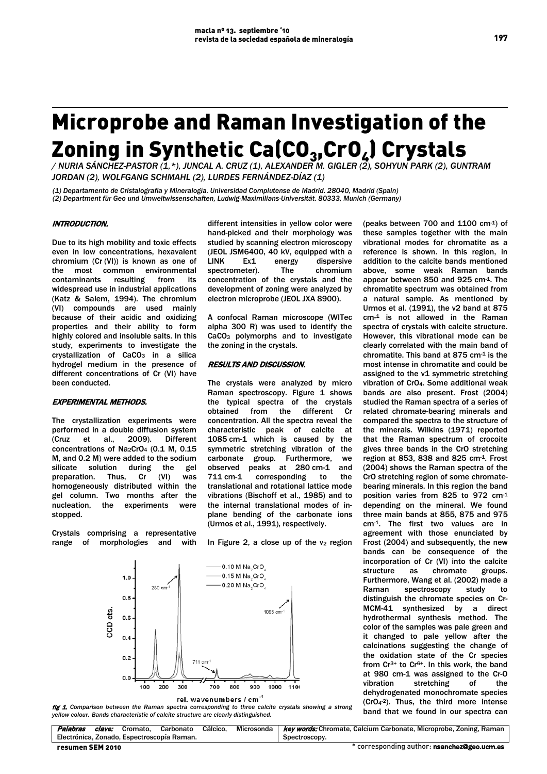# Microprobe and Raman Investigation of the Zoning in Synthetic Ca(CO<sub>3</sub>,CrO<sub>4</sub>) Crystals

*/ NURIA SÁNCHEZ-PASTOR (1,\*), JUNCAL A. CRUZ (1), ALEXANDER M. GIGLER (2), SOHYUN PARK (2), GUNTRAM JORDAN (2), WOLFGANG SCHMAHL (2), LURDES FERNÁNDEZ-DÍAZ (1)*

*(1) Departamento de Cristalografía y Mineralogía. Universidad Complutense de Madrid. 28040, Madrid (Spain) (2) Department für Geo und Umweltwissenschaften, Ludwig-Maximilians-Universität. 80333, Munich (Germany)* 

### INTRODUCTION.

Due to its high mobility and toxic effects even in low concentrations, hexavalent chromium (Cr (VI)) is known as one of the most common environmental contaminants resulting from its widespread use in industrial applications (Katz & Salem, 1994). The chromium (VI) compounds are used mainly because of their acidic and oxidizing properties and their ability to form highly colored and insoluble salts. In this study, experiments to investigate the crystallization of CaCO<sub>3</sub> in a silica hydrogel medium in the presence of different concentrations of Cr (VI) have been conducted.

# EXPERIMENTAL METHODS.

The crystallization experiments were performed in a double diffusion system (Cruz et al., 2009). Different concentrations of Na<sub>2</sub>CrO<sub>4</sub> (0.1 M, 0.15 M, and 0.2 M) were added to the sodium<br>silicate solution during the gel silicate solution during the gel preparation. Thus, Cr (VI) was homogeneously distributed within the gel column. Two months after the nucleation, the experiments were stopped.

Crystals comprising a representative range of morphologies and with

different intensities in yellow color were hand-picked and their morphology was studied by scanning electron microscopy (JEOL JSM6400, 40 kV, equipped with a LINK Ex1 energy dispersive spectrometer). The chromium concentration of the crystals and the development of zoning were analyzed by electron microprobe (JEOL JXA 8900).

A confocal Raman microscope (WITec alpha 300 R) was used to identify the CaCO<sub>3</sub> polymorphs and to investigate the zoning in the crystals.

#### RESULTS AND DISCUSSION.

The crystals were analyzed by micro Raman spectroscopy. Figure 1 shows the typical spectra of the crystals obtained from the different Cr concentration. All the spectra reveal the characteristic peak of calcite at 1085 cm-1 which is caused by the symmetric stretching vibration of the carbonate group. Furthermore, we<br>observed peaks at 280 cm-1 and observed peaks at  $280 \text{ cm-1}$ 711 cm-1 corresponding to the translational and rotational lattice mode vibrations (Bischoff et al., 1985) and to the internal translational modes of inplane bending of the carbonate ions (Urmos et al., 1991), respectively.

In Figure 2, a close up of the  $v_2$  region



fig 1. *Comparison between the Raman spectra corresponding to three calcite crystals showing a strong yellow colour. Bands characteristic of calcite structure are clearly distinguished.*

reference is shown. In this region, in (peaks between 700 and 1100 cm-1) of these samples together with the main vibrational modes for chromatite as a addition to the calcite bands mentioned above, some weak Raman bands appear between 850 and 925 cm-1. The chromatite spectrum was obtained from a natural sample. As mentioned by Urmos et al. (1991), the ν2 band at 875 cm-1 is not allowed in the Raman spectra of crystals with calcite structure. However, this vibrational mode can be clearly correlated with the main band of chromatite. This band at  $875$  cm $<sup>1</sup>$  is the</sup> most intense in chromatite and could be assigned to the v1 symmetric stretching vibration of CrO4. Some additional weak bands are also present. Frost (2004) studied the Raman spectra of a series of related chromate-bearing minerals and compared the spectra to the structure of the minerals. Wilkins (1971) reported that the Raman spectrum of crocoite gives three bands in the CrO stretching region at 853, 838 and 825 cm-1. Frost (2004) shows the Raman spectra of the CrO stretching region of some chromatebearing minerals. In this region the band position varies from 825 to 972 cm-1 depending on the mineral. We found three main bands at 855, 875 and 975 cm-1. The first two values are in agreement with those enunciated by Frost (2004) and subsequently, the new bands can be consequence of the incorporation of Cr (VI) into the calcite structure as chromate groups. Furthermore, Wang et al. (2002) made a Raman spectroscopy study to distinguish the chromate species on Cr-MCM-41 synthesized by a direct hydrothermal synthesis method. The color of the samples was pale green and it changed to pale yellow after the calcinations suggesting the change of the oxidation state of the Cr species from Cr<sup>3+</sup> to Cr<sup>6+</sup>. In this work, the band at 980 cm-1 was assigned to the Cr-O vibration stretching of the dehydrogenated monochromate species (CrO4-2). Thus, the third more intense band that we found in our spectra can

| Palabras         | clave: | Cromato. Carbonato                         | Cálcico. | Microsonda   Key words: Chromate, Calcium Carbonate, Microprobe, Zoning, Raman |
|------------------|--------|--------------------------------------------|----------|--------------------------------------------------------------------------------|
|                  |        | Electrónica, Zonado, Espectroscopía Raman, |          | Spectroscopy.                                                                  |
| resumen SEM 2010 |        |                                            |          | * corresponding author: <b>nsanchez@geo.ucm.es</b>                             |